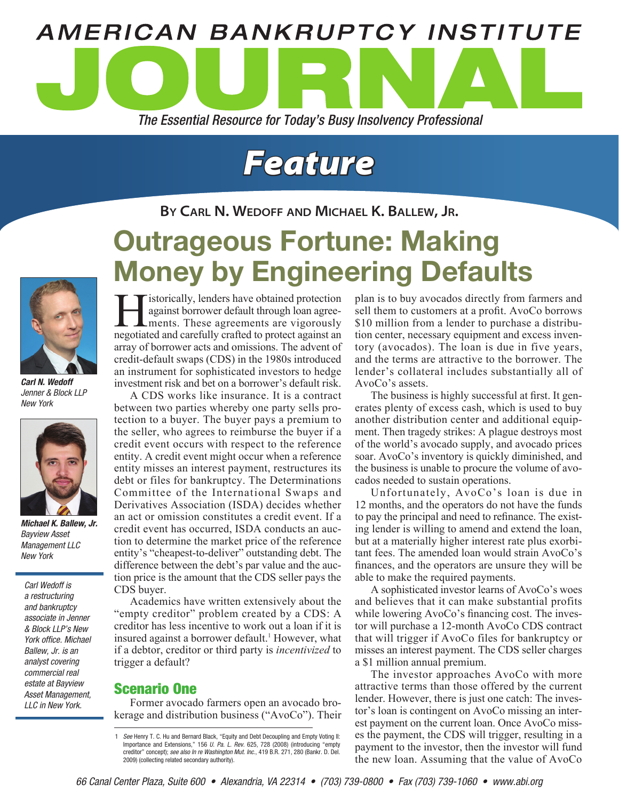

# *Feature*

**By Carl N. Wedoff and Michael K. Ballew, Jr.**

## Outrageous Fortune: Making Money by Engineering Defaults



*Carl N. Wedoff Jenner & Block LLP New York*



*Michael K. Ballew, Jr. Bayview Asset Management LLC New York*

*Carl Wedoff is a restructuring and bankruptcy associate in Jenner & Block LLP's New York office. Michael Ballew, Jr. is an analyst covering commercial real estate at Bayview Asset Management, LLC in New York.*

**Historically, lenders have obtained protection**<br>against borrower default through loan agree-<br>ments. These agreements are vigorously<br>negotiated and carefully crafted to protect against an against borrower default through loan agreements. These agreements are vigorously negotiated and carefully crafted to protect against an array of borrower acts and omissions. The advent of credit-default swaps (CDS) in the 1980s introduced an instrument for sophisticated investors to hedge investment risk and bet on a borrower's default risk.

A CDS works like insurance. It is a contract between two parties whereby one party sells protection to a buyer. The buyer pays a premium to the seller, who agrees to reimburse the buyer if a credit event occurs with respect to the reference entity. A credit event might occur when a reference entity misses an interest payment, restructures its debt or files for bankruptcy. The Determinations Committee of the International Swaps and Derivatives Association (ISDA) decides whether an act or omission constitutes a credit event. If a credit event has occurred, ISDA conducts an auction to determine the market price of the reference entity's "cheapest-to-deliver" outstanding debt. The difference between the debt's par value and the auction price is the amount that the CDS seller pays the CDS buyer.

Academics have written extensively about the "empty creditor" problem created by a CDS: A creditor has less incentive to work out a loan if it is insured against a borrower default.<sup>1</sup> However, what if a debtor, creditor or third party is *incentivized* to trigger a default?

## Scenario One

Former avocado farmers open an avocado brokerage and distribution business ("AvoCo"). Their plan is to buy avocados directly from farmers and sell them to customers at a profit. AvoCo borrows \$10 million from a lender to purchase a distribution center, necessary equipment and excess inventory (avocados). The loan is due in five years, and the terms are attractive to the borrower. The lender's collateral includes substantially all of AvoCo's assets.

The business is highly successful at first. It generates plenty of excess cash, which is used to buy another distribution center and additional equipment. Then tragedy strikes: A plague destroys most of the world's avocado supply, and avocado prices soar. AvoCo's inventory is quickly diminished, and the business is unable to procure the volume of avocados needed to sustain operations.

Unfortunately, AvoCo's loan is due in 12 months, and the operators do not have the funds to pay the principal and need to refinance. The existing lender is willing to amend and extend the loan, but at a materially higher interest rate plus exorbitant fees. The amended loan would strain AvoCo's finances, and the operators are unsure they will be able to make the required payments.

A sophisticated investor learns of AvoCo's woes and believes that it can make substantial profits while lowering AvoCo's financing cost. The investor will purchase a 12-month AvoCo CDS contract that will trigger if AvoCo files for bankruptcy or misses an interest payment. The CDS seller charges a \$1 million annual premium.

The investor approaches AvoCo with more attractive terms than those offered by the current lender. However, there is just one catch: The investor's loan is contingent on AvoCo missing an interest payment on the current loan. Once AvoCo misses the payment, the CDS will trigger, resulting in a payment to the investor, then the investor will fund the new loan. Assuming that the value of AvoCo

<sup>1</sup> *See* Henry T. C. Hu and Bernard Black, "Equity and Debt Decoupling and Empty Voting II: Importance and Extensions," 156 *U. Pa. L. Rev.* 625, 728 (2008) (introducing "empty creditor" concept); *see also In re Washington Mut. Inc.*, 419 B.R. 271, 280 (Bankr. D. Del. 2009) (collecting related secondary authority).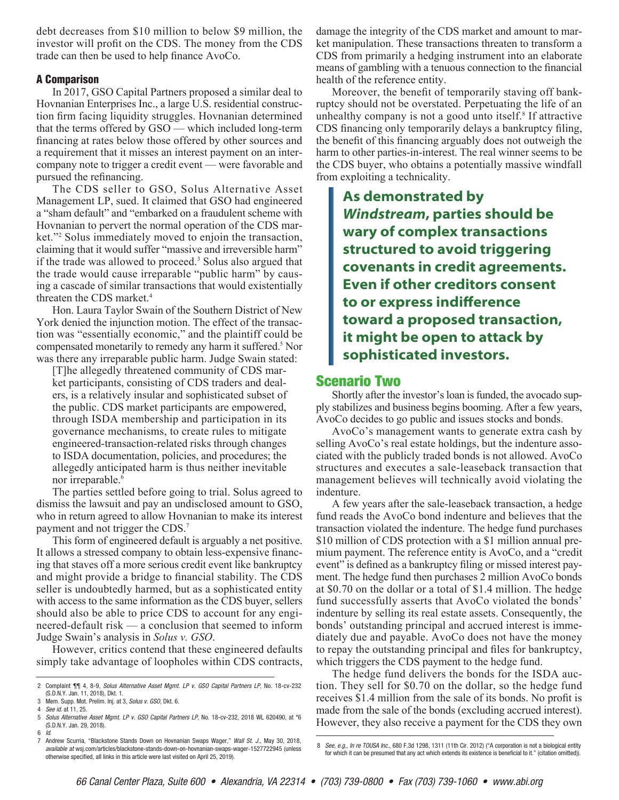debt decreases from \$10 million to below \$9 million, the investor will profit on the CDS. The money from the CDS trade can then be used to help finance AvoCo.

#### A Comparison

In 2017, GSO Capital Partners proposed a similar deal to Hovnanian Enterprises Inc., a large U.S. residential construction firm facing liquidity struggles. Hovnanian determined that the terms offered by GSO — which included long-term financing at rates below those offered by other sources and a requirement that it misses an interest payment on an intercompany note to trigger a credit event — were favorable and pursued the refinancing.

The CDS seller to GSO, Solus Alternative Asset Management LP, sued. It claimed that GSO had engineered a "sham default" and "embarked on a fraudulent scheme with Hovnanian to pervert the normal operation of the CDS market."2 Solus immediately moved to enjoin the transaction, claiming that it would suffer "massive and irreversible harm" if the trade was allowed to proceed.<sup>3</sup> Solus also argued that the trade would cause irreparable "public harm" by causing a cascade of similar transactions that would existentially threaten the CDS market.4

Hon. Laura Taylor Swain of the Southern District of New York denied the injunction motion. The effect of the transaction was "essentially economic," and the plaintiff could be compensated monetarily to remedy any harm it suffered.<sup>5</sup> Nor was there any irreparable public harm. Judge Swain stated:

[T]he allegedly threatened community of CDS market participants, consisting of CDS traders and dealers, is a relatively insular and sophisticated subset of the public. CDS market participants are empowered, through ISDA membership and participation in its governance mechanisms, to create rules to mitigate engineered-transaction-related risks through changes to ISDA documentation, policies, and procedures; the allegedly anticipated harm is thus neither inevitable nor irreparable.<sup>6</sup>

The parties settled before going to trial. Solus agreed to dismiss the lawsuit and pay an undisclosed amount to GSO, who in return agreed to allow Hovnanian to make its interest payment and not trigger the CDS.7

This form of engineered default is arguably a net positive. It allows a stressed company to obtain less-expensive financing that staves off a more serious credit event like bankruptcy and might provide a bridge to financial stability. The CDS seller is undoubtedly harmed, but as a sophisticated entity with access to the same information as the CDS buyer, sellers should also be able to price CDS to account for any engineered-default risk — a conclusion that seemed to inform Judge Swain's analysis in *Solus v. GSO*.

However, critics contend that these engineered defaults simply take advantage of loopholes within CDS contracts, damage the integrity of the CDS market and amount to market manipulation. These transactions threaten to transform a CDS from primarily a hedging instrument into an elaborate means of gambling with a tenuous connection to the financial health of the reference entity.

Moreover, the benefit of temporarily staving off bankruptcy should not be overstated. Perpetuating the life of an unhealthy company is not a good unto itself.<sup>8</sup> If attractive CDS financing only temporarily delays a bankruptcy filing, the benefit of this financing arguably does not outweigh the harm to other parties-in-interest. The real winner seems to be the CDS buyer, who obtains a potentially massive windfall from exploiting a technicality.

**As demonstrated by**  *Windstream***, parties should be wary of complex transactions structured to avoid triggering covenants in credit agreements. Even if other creditors consent to or express indifference toward a proposed transaction, it might be open to attack by sophisticated investors.** 

#### Scenario Two

Shortly after the investor's loan is funded, the avocado supply stabilizes and business begins booming. After a few years, AvoCo decides to go public and issues stocks and bonds.

AvoCo's management wants to generate extra cash by selling AvoCo's real estate holdings, but the indenture associated with the publicly traded bonds is not allowed. AvoCo structures and executes a sale-leaseback transaction that management believes will technically avoid violating the indenture.

A few years after the sale-leaseback transaction, a hedge fund reads the AvoCo bond indenture and believes that the transaction violated the indenture. The hedge fund purchases \$10 million of CDS protection with a \$1 million annual premium payment. The reference entity is AvoCo, and a "credit event" is defined as a bankruptcy filing or missed interest payment. The hedge fund then purchases 2 million AvoCo bonds at \$0.70 on the dollar or a total of \$1.4 million. The hedge fund successfully asserts that AvoCo violated the bonds' indenture by selling its real estate assets. Consequently, the bonds' outstanding principal and accrued interest is immediately due and payable. AvoCo does not have the money to repay the outstanding principal and files for bankruptcy, which triggers the CDS payment to the hedge fund.

The hedge fund delivers the bonds for the ISDA auction. They sell for \$0.70 on the dollar, so the hedge fund receives \$1.4 million from the sale of its bonds. No profit is made from the sale of the bonds (excluding accrued interest). However, they also receive a payment for the CDS they own

<sup>2</sup> Complaint ¶¶ 4, 8-9, *Solus Alternative Asset Mgmt. LP v. GSO Capital Partners LP*, No. 18-cv-232 (S.D.N.Y. Jan. 11, 2018), Dkt. 1.

<sup>3</sup> Mem. Supp. Mot. Prelim. Inj. at 3, *Solus v. GSO*, Dkt. 6.

<sup>4</sup> *See id*. at 11, 25.

<sup>5</sup> *Solus Alternative Asset Mgmt. LP v. GSO Capital Partners LP*, No. 18-cv-232, 2018 WL 620490, at \*6 (S.D.N.Y. Jan. 29, 2018). 6 *Id*.

<sup>7</sup> Andrew Scurria, "Blackstone Stands Down on Hovnanian Swaps Wager," *Wall St. J.*, May 30, 2018, *available at* wsj.com/articles/blackstone-stands-down-on-hovnanian-swaps-wager-1527722945 (unless otherwise specified, all links in this article were last visited on April 25, 2019).

<sup>8</sup> *See, e.g., In re TOUSA Inc.*, 680 F.3d 1298, 1311 (11th Cir. 2012) ("A corporation is not a biological entity for which it can be presumed that any act which extends its existence is beneficial to it." (citation omitted)).